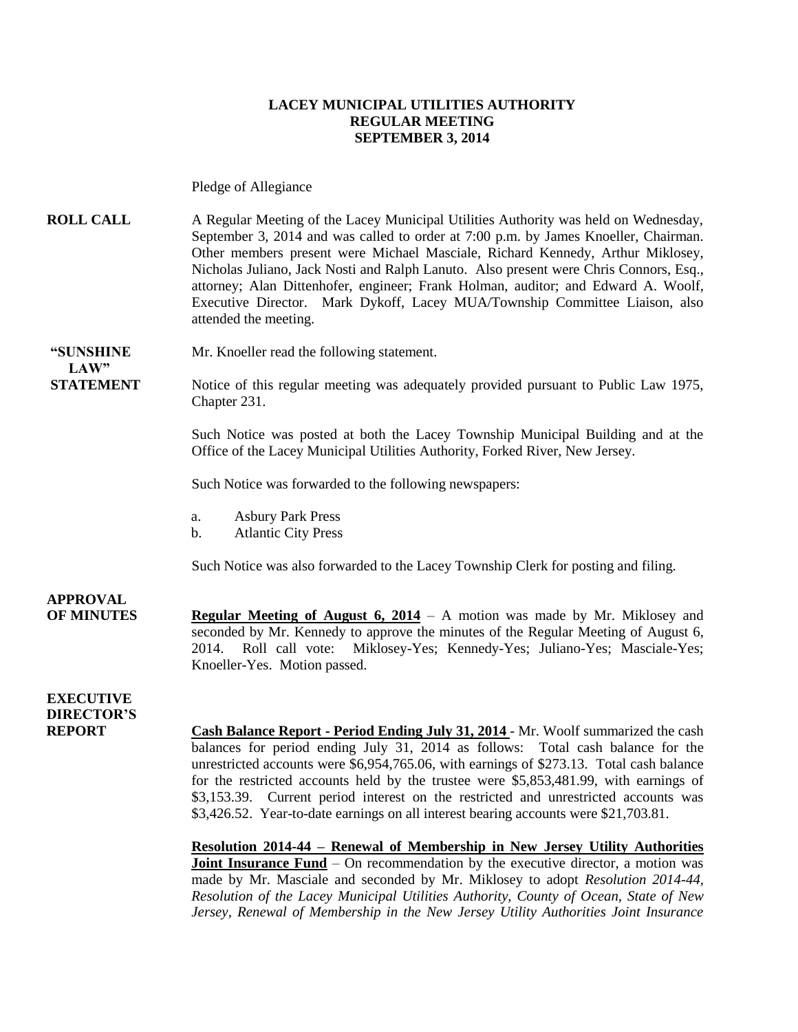#### **LACEY MUNICIPAL UTILITIES AUTHORITY REGULAR MEETING SEPTEMBER 3, 2014**

Pledge of Allegiance

**ROLL CALL** A Regular Meeting of the Lacey Municipal Utilities Authority was held on Wednesday, September 3, 2014 and was called to order at 7:00 p.m. by James Knoeller, Chairman. Other members present were Michael Masciale, Richard Kennedy, Arthur Miklosey, Nicholas Juliano, Jack Nosti and Ralph Lanuto. Also present were Chris Connors, Esq., attorney; Alan Dittenhofer, engineer; Frank Holman, auditor; and Edward A. Woolf, Executive Director. Mark Dykoff, Lacey MUA/Township Committee Liaison, also attended the meeting.

**"SUNSHINE** Mr. Knoeller read the following statement.

**STATEMENT** Notice of this regular meeting was adequately provided pursuant to Public Law 1975, Chapter 231.

> Such Notice was posted at both the Lacey Township Municipal Building and at the Office of the Lacey Municipal Utilities Authority, Forked River, New Jersey.

Such Notice was forwarded to the following newspapers:

- a. Asbury Park Press
- b. Atlantic City Press

Such Notice was also forwarded to the Lacey Township Clerk for posting and filing.

**APPROVAL**

 $LAW"$ 

**OF MINUTES Regular Meeting of August 6, 2014** – A motion was made by Mr. Miklosey and seconded by Mr. Kennedy to approve the minutes of the Regular Meeting of August 6, 2014. Roll call vote: Miklosey-Yes; Kennedy-Yes; Juliano-Yes; Masciale-Yes; Knoeller-Yes. Motion passed.

**EXECUTIVE DIRECTOR'S**

**REPORT Cash Balance Report - Period Ending July 31, 2014** - Mr. Woolf summarized the cash balances for period ending July 31, 2014 as follows: Total cash balance for the unrestricted accounts were \$6,954,765.06, with earnings of \$273.13. Total cash balance for the restricted accounts held by the trustee were \$5,853,481.99, with earnings of \$3,153.39. Current period interest on the restricted and unrestricted accounts was \$3,426.52. Year-to-date earnings on all interest bearing accounts were \$21,703.81.

> **Resolution 2014-44 – Renewal of Membership in New Jersey Utility Authorities Joint Insurance Fund** – On recommendation by the executive director, a motion was made by Mr. Masciale and seconded by Mr. Miklosey to adopt *Resolution 2014-44, Resolution of the Lacey Municipal Utilities Authority, County of Ocean, State of New Jersey, Renewal of Membership in the New Jersey Utility Authorities Joint Insurance*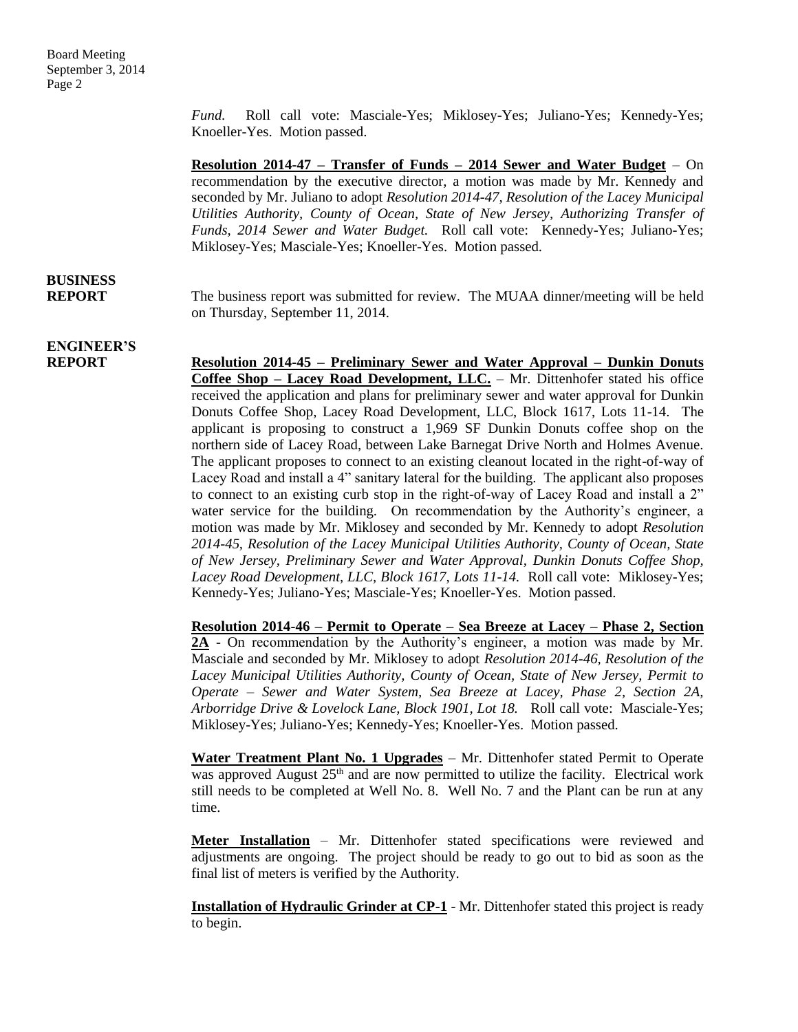*Fund.* Roll call vote: Masciale-Yes; Miklosey-Yes; Juliano-Yes; Kennedy-Yes; Knoeller-Yes. Motion passed.

**Resolution 2014-47 – Transfer of Funds – 2014 Sewer and Water Budget** – On recommendation by the executive director, a motion was made by Mr. Kennedy and seconded by Mr. Juliano to adopt *Resolution 2014-47, Resolution of the Lacey Municipal Utilities Authority, County of Ocean, State of New Jersey, Authorizing Transfer of Funds, 2014 Sewer and Water Budget.* Roll call vote: Kennedy-Yes; Juliano-Yes; Miklosey-Yes; Masciale-Yes; Knoeller-Yes. Motion passed.

### **BUSINESS**

**REPORT** The business report was submitted for review. The MUAA dinner/meeting will be held on Thursday, September 11, 2014.

# **ENGINEER'S**

**REPORT Resolution 2014-45 – Preliminary Sewer and Water Approval – Dunkin Donuts Coffee Shop – Lacey Road Development, LLC.** – Mr. Dittenhofer stated his office received the application and plans for preliminary sewer and water approval for Dunkin Donuts Coffee Shop, Lacey Road Development, LLC, Block 1617, Lots 11-14. The applicant is proposing to construct a 1,969 SF Dunkin Donuts coffee shop on the northern side of Lacey Road, between Lake Barnegat Drive North and Holmes Avenue. The applicant proposes to connect to an existing cleanout located in the right-of-way of Lacey Road and install a 4" sanitary lateral for the building. The applicant also proposes to connect to an existing curb stop in the right-of-way of Lacey Road and install a 2" water service for the building. On recommendation by the Authority's engineer, a motion was made by Mr. Miklosey and seconded by Mr. Kennedy to adopt *Resolution 2014-45, Resolution of the Lacey Municipal Utilities Authority, County of Ocean, State of New Jersey, Preliminary Sewer and Water Approval, Dunkin Donuts Coffee Shop, Lacey Road Development, LLC, Block 1617, Lots 11-14.* Roll call vote: Miklosey-Yes; Kennedy-Yes; Juliano-Yes; Masciale-Yes; Knoeller-Yes. Motion passed.

> **Resolution 2014-46 – Permit to Operate – Sea Breeze at Lacey – Phase 2, Section 2A** - On recommendation by the Authority's engineer, a motion was made by Mr. Masciale and seconded by Mr. Miklosey to adopt *Resolution 2014-46, Resolution of the Lacey Municipal Utilities Authority, County of Ocean, State of New Jersey, Permit to Operate – Sewer and Water System, Sea Breeze at Lacey, Phase 2, Section 2A, Arborridge Drive & Lovelock Lane, Block 1901, Lot 18.* Roll call vote: Masciale-Yes; Miklosey-Yes; Juliano-Yes; Kennedy-Yes; Knoeller-Yes. Motion passed.

> **Water Treatment Plant No. 1 Upgrades** – Mr. Dittenhofer stated Permit to Operate was approved August  $25<sup>th</sup>$  and are now permitted to utilize the facility. Electrical work still needs to be completed at Well No. 8. Well No. 7 and the Plant can be run at any time.

> **Meter Installation** – Mr. Dittenhofer stated specifications were reviewed and adjustments are ongoing. The project should be ready to go out to bid as soon as the final list of meters is verified by the Authority.

> **Installation of Hydraulic Grinder at CP-1** - Mr. Dittenhofer stated this project is ready to begin.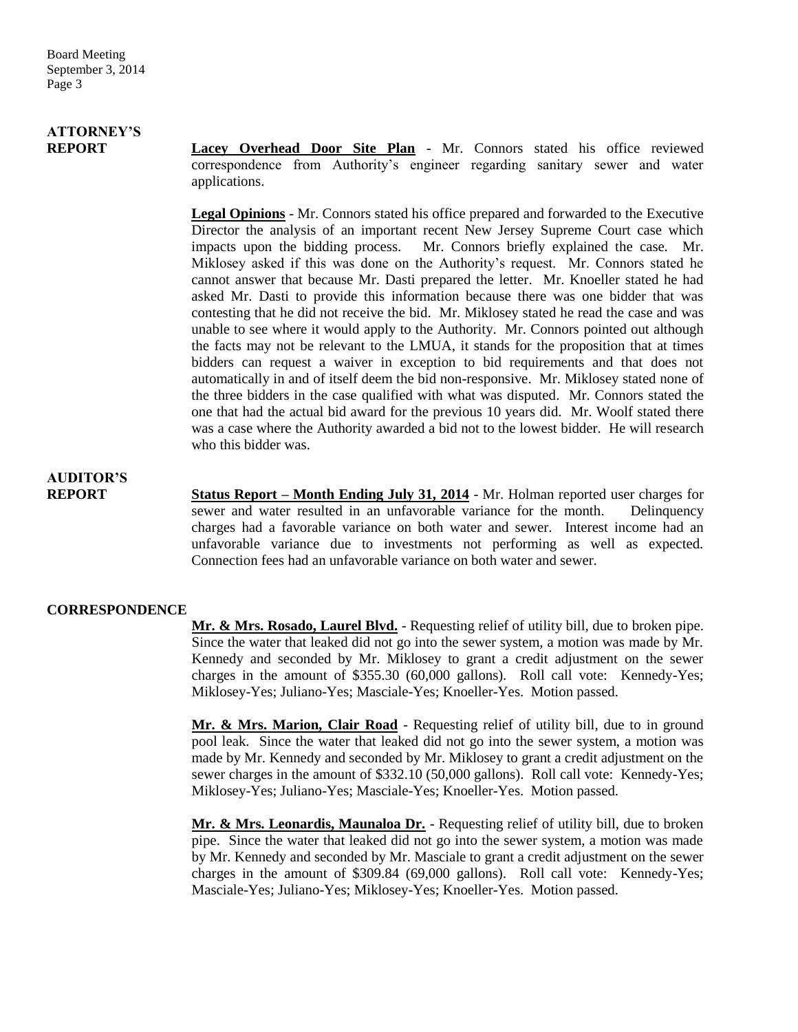# **ATTORNEY'S**

**REPORT Lacey Overhead Door Site Plan** - Mr. Connors stated his office reviewed correspondence from Authority's engineer regarding sanitary sewer and water applications.

> **Legal Opinions** - Mr. Connors stated his office prepared and forwarded to the Executive Director the analysis of an important recent New Jersey Supreme Court case which impacts upon the bidding process. Mr. Connors briefly explained the case. Mr. Miklosey asked if this was done on the Authority's request. Mr. Connors stated he cannot answer that because Mr. Dasti prepared the letter. Mr. Knoeller stated he had asked Mr. Dasti to provide this information because there was one bidder that was contesting that he did not receive the bid. Mr. Miklosey stated he read the case and was unable to see where it would apply to the Authority. Mr. Connors pointed out although the facts may not be relevant to the LMUA, it stands for the proposition that at times bidders can request a waiver in exception to bid requirements and that does not automatically in and of itself deem the bid non-responsive. Mr. Miklosey stated none of the three bidders in the case qualified with what was disputed. Mr. Connors stated the one that had the actual bid award for the previous 10 years did. Mr. Woolf stated there was a case where the Authority awarded a bid not to the lowest bidder. He will research who this bidder was.

# **AUDITOR'S**

**REPORT Status Report – Month Ending July 31, 2014** - Mr. Holman reported user charges for sewer and water resulted in an unfavorable variance for the month. Delinquency charges had a favorable variance on both water and sewer. Interest income had an unfavorable variance due to investments not performing as well as expected. Connection fees had an unfavorable variance on both water and sewer.

### **CORRESPONDENCE**

**Mr. & Mrs. Rosado, Laurel Blvd.** - Requesting relief of utility bill, due to broken pipe. Since the water that leaked did not go into the sewer system, a motion was made by Mr. Kennedy and seconded by Mr. Miklosey to grant a credit adjustment on the sewer charges in the amount of \$355.30 (60,000 gallons). Roll call vote: Kennedy-Yes; Miklosey-Yes; Juliano-Yes; Masciale-Yes; Knoeller-Yes. Motion passed.

**Mr. & Mrs. Marion, Clair Road** - Requesting relief of utility bill, due to in ground pool leak. Since the water that leaked did not go into the sewer system, a motion was made by Mr. Kennedy and seconded by Mr. Miklosey to grant a credit adjustment on the sewer charges in the amount of \$332.10 (50,000 gallons). Roll call vote: Kennedy-Yes; Miklosey-Yes; Juliano-Yes; Masciale-Yes; Knoeller-Yes. Motion passed.

**Mr. & Mrs. Leonardis, Maunaloa Dr.** - Requesting relief of utility bill, due to broken pipe. Since the water that leaked did not go into the sewer system, a motion was made by Mr. Kennedy and seconded by Mr. Masciale to grant a credit adjustment on the sewer charges in the amount of \$309.84 (69,000 gallons). Roll call vote: Kennedy-Yes; Masciale-Yes; Juliano-Yes; Miklosey-Yes; Knoeller-Yes. Motion passed.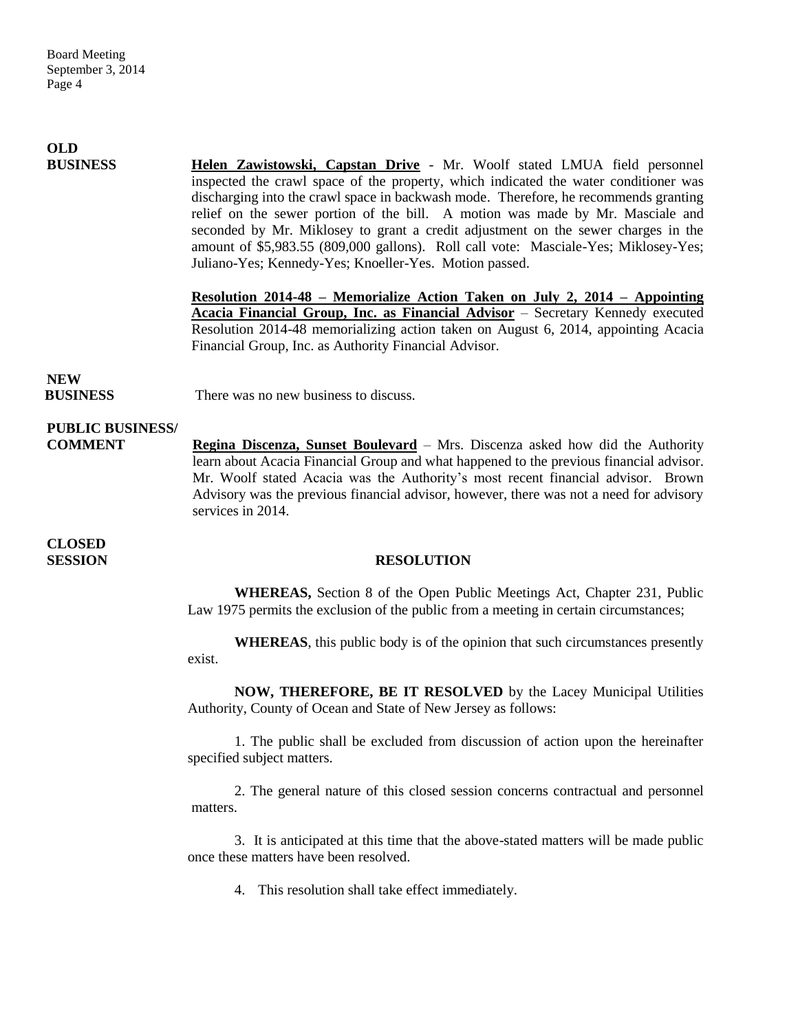| <b>OLD</b>                                |                                                                                                                                                                                                                                                                                                                                                                                                                                                                                                                                                                                  |
|-------------------------------------------|----------------------------------------------------------------------------------------------------------------------------------------------------------------------------------------------------------------------------------------------------------------------------------------------------------------------------------------------------------------------------------------------------------------------------------------------------------------------------------------------------------------------------------------------------------------------------------|
| <b>BUSINESS</b>                           | Helen Zawistowski, Capstan Drive - Mr. Woolf stated LMUA field personnel<br>inspected the crawl space of the property, which indicated the water conditioner was<br>discharging into the crawl space in backwash mode. Therefore, he recommends granting<br>relief on the sewer portion of the bill. A motion was made by Mr. Masciale and<br>seconded by Mr. Miklosey to grant a credit adjustment on the sewer charges in the<br>amount of \$5,983.55 (809,000 gallons). Roll call vote: Masciale-Yes; Miklosey-Yes;<br>Juliano-Yes; Kennedy-Yes; Knoeller-Yes. Motion passed. |
|                                           | <u>Resolution 2014-48 – Memorialize Action Taken on July 2, 2014 – Appointing</u><br>Acacia Financial Group, Inc. as Financial Advisor - Secretary Kennedy executed<br>Resolution 2014-48 memorializing action taken on August 6, 2014, appointing Acacia<br>Financial Group, Inc. as Authority Financial Advisor.                                                                                                                                                                                                                                                               |
| <b>NEW</b><br><b>BUSINESS</b>             | There was no new business to discuss.                                                                                                                                                                                                                                                                                                                                                                                                                                                                                                                                            |
| <b>PUBLIC BUSINESS/</b><br><b>COMMENT</b> | Regina Discenza, Sunset Boulevard – Mrs. Discenza asked how did the Authority<br>learn about Acacia Financial Group and what happened to the previous financial advisor.<br>Mr. Woolf stated Acacia was the Authority's most recent financial advisor. Brown<br>Advisory was the previous financial advisor, however, there was not a need for advisory<br>services in 2014.                                                                                                                                                                                                     |
| <b>CLOSED</b><br><b>SESSION</b>           | <b>RESOLUTION</b>                                                                                                                                                                                                                                                                                                                                                                                                                                                                                                                                                                |
|                                           | <b>WHEREAS</b> , Section 8 of the Open Public Meetings Act, Chapter 231, Public<br>Law 1975 permits the exclusion of the public from a meeting in certain circumstances;                                                                                                                                                                                                                                                                                                                                                                                                         |
|                                           | <b>WHEREAS</b> , this public body is of the opinion that such circumstances presently<br>exist.                                                                                                                                                                                                                                                                                                                                                                                                                                                                                  |
|                                           | NOW, THEREFORE, BE IT RESOLVED by the Lacey Municipal Utilities<br>Authority, County of Ocean and State of New Jersey as follows:                                                                                                                                                                                                                                                                                                                                                                                                                                                |

1. The public shall be excluded from discussion of action upon the hereinafter specified subject matters.

2. The general nature of this closed session concerns contractual and personnel matters.

3. It is anticipated at this time that the above-stated matters will be made public once these matters have been resolved.

4. This resolution shall take effect immediately.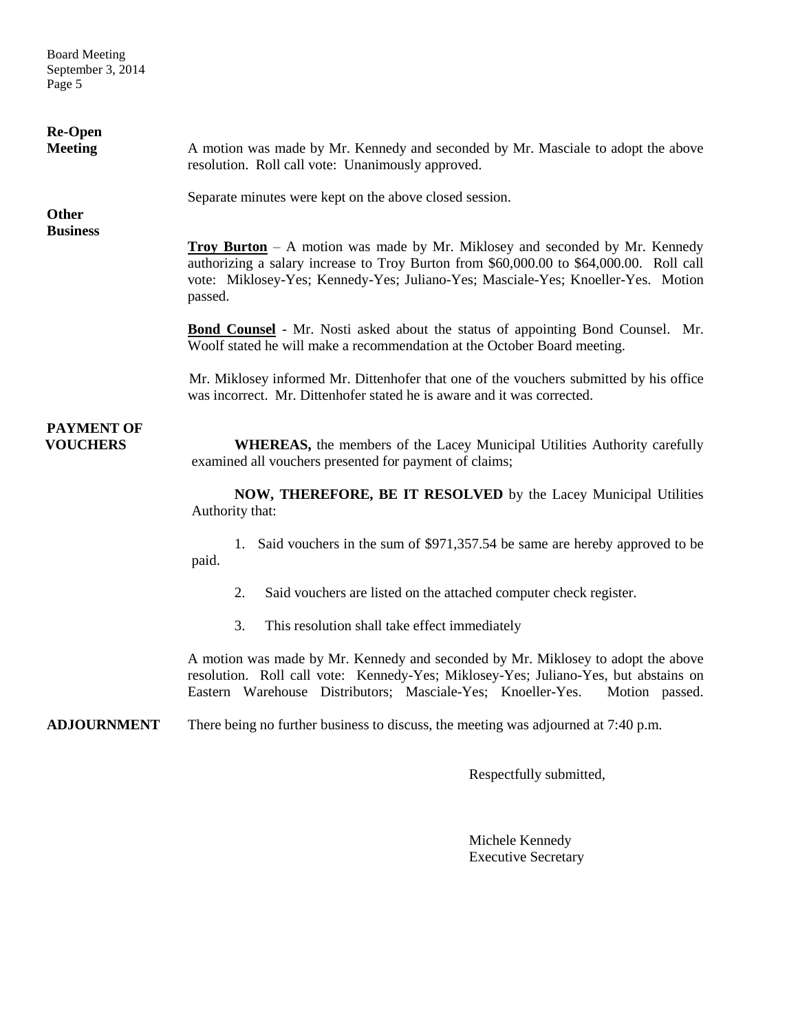Board Meeting September 3, 2014 Page 5

| <b>Re-Open</b><br><b>Meeting</b>     | A motion was made by Mr. Kennedy and seconded by Mr. Masciale to adopt the above<br>resolution. Roll call vote: Unanimously approved.                                                                                                                                        |
|--------------------------------------|------------------------------------------------------------------------------------------------------------------------------------------------------------------------------------------------------------------------------------------------------------------------------|
| <b>Other</b>                         | Separate minutes were kept on the above closed session.                                                                                                                                                                                                                      |
| <b>Business</b>                      | <b>Troy Burton</b> – A motion was made by Mr. Miklosey and seconded by Mr. Kennedy<br>authorizing a salary increase to Troy Burton from \$60,000.00 to \$64,000.00. Roll call<br>vote: Miklosey-Yes; Kennedy-Yes; Juliano-Yes; Masciale-Yes; Knoeller-Yes. Motion<br>passed. |
|                                      | <b>Bond Counsel</b> - Mr. Nosti asked about the status of appointing Bond Counsel. Mr.<br>Woolf stated he will make a recommendation at the October Board meeting.                                                                                                           |
|                                      | Mr. Miklosey informed Mr. Dittenhofer that one of the vouchers submitted by his office<br>was incorrect. Mr. Dittenhofer stated he is aware and it was corrected.                                                                                                            |
| <b>PAYMENT OF</b><br><b>VOUCHERS</b> | <b>WHEREAS</b> , the members of the Lacey Municipal Utilities Authority carefully<br>examined all vouchers presented for payment of claims;                                                                                                                                  |
|                                      | NOW, THEREFORE, BE IT RESOLVED by the Lacey Municipal Utilities<br>Authority that:                                                                                                                                                                                           |
|                                      | 1. Said vouchers in the sum of \$971,357.54 be same are hereby approved to be<br>paid.                                                                                                                                                                                       |
|                                      | Said vouchers are listed on the attached computer check register.<br>2.                                                                                                                                                                                                      |
|                                      | 3.<br>This resolution shall take effect immediately                                                                                                                                                                                                                          |
|                                      | A motion was made by Mr. Kennedy and seconded by Mr. Miklosey to adopt the above<br>resolution. Roll call vote: Kennedy-Yes; Miklosey-Yes; Juliano-Yes, but abstains on<br>Eastern Warehouse Distributors; Masciale-Yes; Knoeller-Yes.<br>Motion passed.                     |
| <b>ADJOURNMENT</b>                   | There being no further business to discuss, the meeting was adjourned at 7:40 p.m.                                                                                                                                                                                           |

Respectfully submitted,

Michele Kennedy Executive Secretary